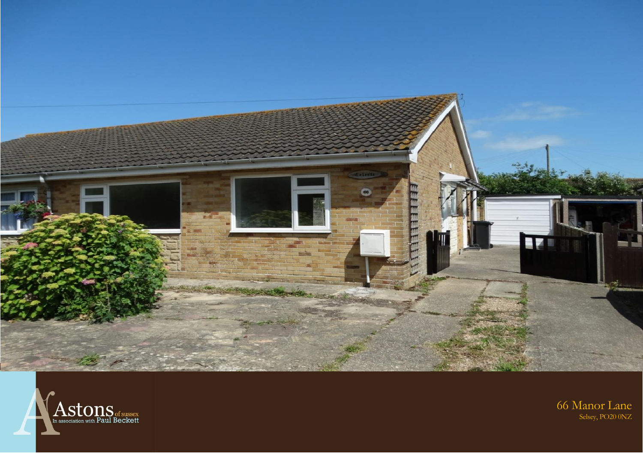



# 66 Manor Lane<br>Selsey, PO20 0NZ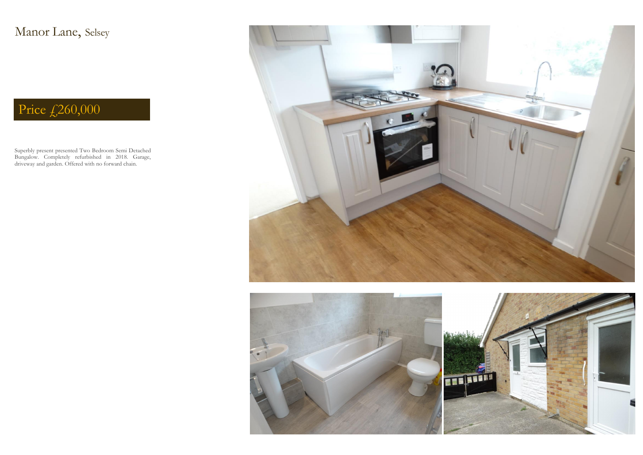Superbly present presented Two Bedroom Semi Detached Bungalow. Completely refurbished in 2018. Garage, driveway and garden. Offered with no forward chain.







Manor Lane, Selsey

# Price  $\sqrt{260,000}$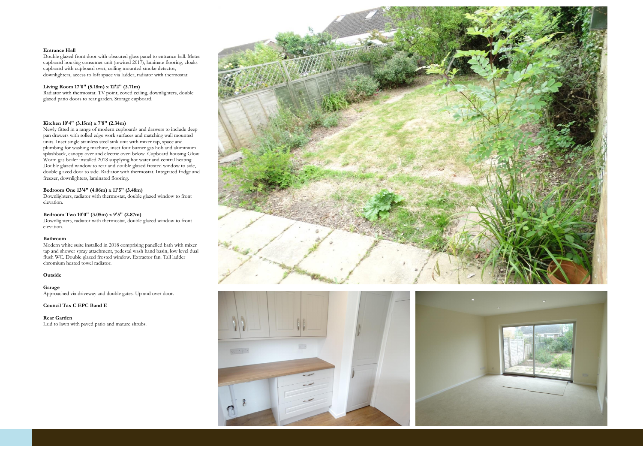#### **Entrance Hall**

Double glazed front door with obscured glass panel to entrance hall. Meter cupboard housing consumer unit (rewired 2017), laminate flooring, cloaks cupboard with cupboard over, ceiling mounted smoke detector, downlighters, access to loft space via ladder, radiator with thermostat.

# **Living Room 17'0" (5.18m) x 12'2" (3.71m)**

Radiator with thermostat. TV point, coved ceiling, downlighters, double glazed patio doors to rear garden. Storage cupboard.

# **Kitchen 10'4" (3.15m) x 7'8" (2.34m)**

Newly fitted in a range of modern cupboards and drawers to include deep pan drawers with rolled edge work surfaces and matching wall mounted units. Inset single stainless steel sink unit with mixer tap, space and plumbing for washing machine, inset four burner gas hob and aluminium splashback, canopy over and electric oven below. Cupboard housing Glow Worm gas boiler installed 2018 supplying hot water and central heating. Double glazed window to rear and double glazed frosted window to side, double glazed door to side. Radiator with thermostat. Integrated fridge and freezer, downlighters, laminated flooring.

# **Bedroom One 13'4" (4.06m) x 11'5" (3.48m)**

Downlighters, radiator with thermostat, double glazed window to front elevation.

#### **Bedroom Two 10'0" (3.05m) x 9'5" (2.87m)**

Downlighters, radiator with thermostat, double glazed window to front elevation.

#### **Bathroom**

Modern white suite installed in 2018 comprising panelled bath with mixer tap and shower spray attachment, pedestal wash hand basin, low level dual flush WC. Double glazed frosted window. Extractor fan. Tall ladder chromium heated towel radiator.

# **Outside**

### **Garage**

Approached via driveway and double gates. Up and over door.

#### **Council Tax C EPC Band E**

#### **Rear Garden**

Laid to lawn with paved patio and mature shrubs.